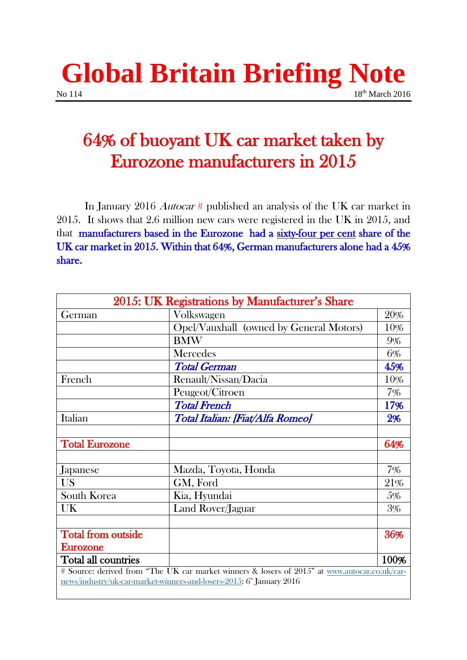## **Global Britain Briefing Note** No 114 18<sup>th</sup> March 2016

# 64% of buoyant UK car market taken by Eurozone manufacturers in 2015

 In January 2016 Autocar # published an analysis of the UK car market in 2015. It shows that 2.6 million new cars were registered in the UK in 2015, and that manufacturers based in the Eurozone had a sixty-four per cent share of the UK car market in 2015. Within that 64%, German manufacturers alone had a 45% share.

| 2015: UK Registrations by Manufacturer's Share                                                |                                         |      |
|-----------------------------------------------------------------------------------------------|-----------------------------------------|------|
| German                                                                                        | Volkswagen                              | 20%  |
|                                                                                               | Opel/Vauxhall (owned by General Motors) | 10%  |
|                                                                                               | <b>BMW</b>                              | 9%   |
|                                                                                               | Mercedes                                | 6%   |
|                                                                                               | <b>Total German</b>                     | 45%  |
| French                                                                                        | Renault/Nissan/Dacia                    | 10%  |
|                                                                                               | Peugeot/Citroen                         | 7%   |
|                                                                                               | <b>Total French</b>                     | 17%  |
| Italian                                                                                       | Total Italian: [Fiat/Alfa Romeo]        | 2%   |
|                                                                                               |                                         |      |
| <b>Total Eurozone</b>                                                                         |                                         | 64%  |
|                                                                                               |                                         |      |
| Japanese                                                                                      | Mazda, Toyota, Honda                    | 7%   |
| <b>US</b>                                                                                     | GM, Ford                                | 21%  |
| South Korea                                                                                   | Kia, Hyundai                            | 5%   |
| UK                                                                                            | Land Rover/Jaguar                       | 3%   |
|                                                                                               |                                         |      |
| <b>Total from outside</b>                                                                     |                                         | 36%  |
| Eurozone                                                                                      |                                         |      |
| Total all countries                                                                           |                                         | 100% |
| # Source: derived from "The UK car market winners & losers of 2015" at www.autocar.co.uk/car- |                                         |      |
| news/industry/uk-car-market-winners-and-losers-2015: 6 <sup>th</sup> January 2016             |                                         |      |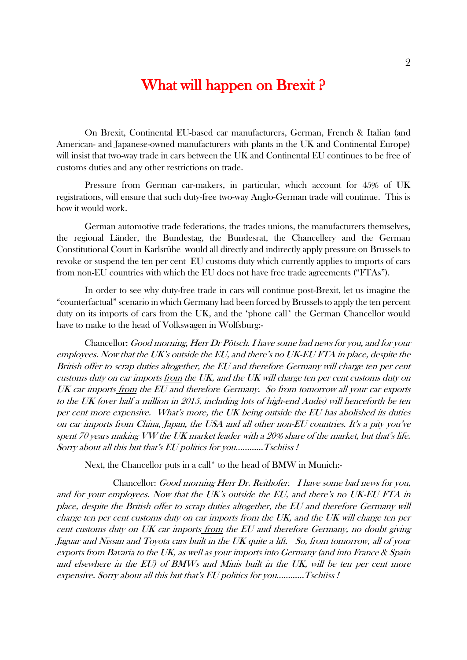## What will happen on Brexit ?

On Brexit, Continental EU-based car manufacturers, German, French & Italian (and American- and Japanese-owned manufacturers with plants in the UK and Continental Europe) will insist that two-way trade in cars between the UK and Continental EU continues to be free of customs duties and any other restrictions on trade.

Pressure from German car-makers, in particular, which account for 45% of UK registrations, will ensure that such duty-free two-way Anglo-German trade will continue. This is how it would work.

German automotive trade federations, the trades unions, the manufacturers themselves, the regional Länder, the Bundestag, the Bundesrat, the Chancellery and the German Constitutional Court in Karlsrühe would all directly and indirectly apply pressure on Brussels to revoke or suspend the ten per cent EU customs duty which currently applies to imports of cars from non-EU countries with which the EU does not have free trade agreements ("FTAs").

In order to see why duty-free trade in cars will continue post-Brexit, let us imagine the "counterfactual" scenario in which Germany had been forced by Brussels to apply the ten percent duty on its imports of cars from the UK, and the 'phone call\* the German Chancellor would have to make to the head of Volkswagen in Wolfsburg:-

Chancellor: Good morning, Herr Dr Pötsch. I have some bad news for you, and for your employees. Now that the UK's outside the EU, and there's no UK-EU FTA in place, despite the British offer to scrap duties altogether, the EU and therefore Germany will charge ten per cent customs duty on car imports from the UK, and the UK will charge ten per cent customs duty on UK car imports from the EU and therefore Germany. So from tomorrow all your car exports to the UK (over half a million in 2015, including lots of high-end Audis) will henceforth be ten per cent more expensive. What's more, the UK being outside the EU has abolished its duties on car imports from China, Japan, the USA and all other non-EU countries. It's a pity you've spent 70 years making VW the UK market leader with a 20% share of the market, but that's life. Sorry about all this but that's EU politics for you…………Tschüss !

Next, the Chancellor puts in a call\* to the head of BMW in Munich:-

Chancellor: Good morning Herr Dr. Reithofer. I have some bad news for you, and for your employees. Now that the UK's outside the EU, and there's no UK-EU FTA in place, despite the British offer to scrap duties altogether, the EU and therefore Germany will charge ten per cent customs duty on car imports from the UK, and the UK will charge ten per cent customs duty on UK car imports from the EU and therefore Germany, no doubt giving Jaguar and Nissan and Toyota cars built in the UK quite a lift. So, from tomorrow, all of your exports from Bavaria to the UK, as well as your imports into Germany (and into France & Spain and elsewhere in the EU) of BMWs and Minis built in the UK, will be ten per cent more expensive. Sorry about all this but that's EU politics for you…………Tschüss !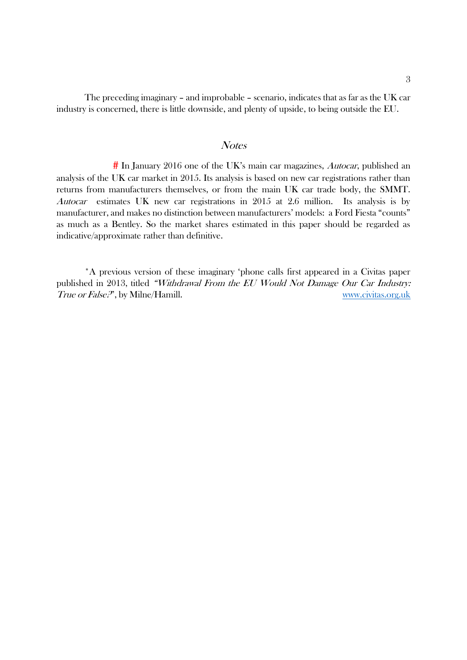The preceding imaginary – and improbable – scenario, indicates that as far as the UK car industry is concerned, there is little downside, and plenty of upside, to being outside the EU.

#### **Notes**

 $#$  In January 2016 one of the UK's main car magazines, *Autocar*, published an analysis of the UK car market in 2015. Its analysis is based on new car registrations rather than returns from manufacturers themselves, or from the main UK car trade body, the SMMT. Autocar estimates UK new car registrations in 2015 at 2.6 million. Its analysis is by manufacturer, and makes no distinction between manufacturers' models: a Ford Fiesta "counts" as much as a Bentley. So the market shares estimated in this paper should be regarded as indicative/approximate rather than definitive.

 \*A previous version of these imaginary 'phone calls first appeared in a Civitas paper published in 2013, titled "Withdrawal From the EU Would Not Damage Our Car Industry: True or False?", by Milne/Hamill. We are not also www.civitas.org.uk